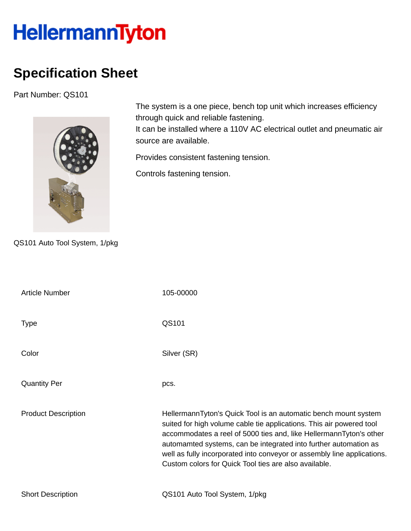## HellermannTyton

## **Specification Sheet**

Part Number: QS101



The system is a one piece, bench top unit which increases efficiency through quick and reliable fastening.

It can be installed where a 110V AC electrical outlet and pneumatic air source are available.

Provides consistent fastening tension.

Controls fastening tension.

QS101 Auto Tool System, 1/pkg

| <b>Article Number</b>      | 105-00000                                                                                                                                                                                                                                                                                                                                                                                                             |
|----------------------------|-----------------------------------------------------------------------------------------------------------------------------------------------------------------------------------------------------------------------------------------------------------------------------------------------------------------------------------------------------------------------------------------------------------------------|
| <b>Type</b>                | QS101                                                                                                                                                                                                                                                                                                                                                                                                                 |
| Color                      | Silver (SR)                                                                                                                                                                                                                                                                                                                                                                                                           |
| <b>Quantity Per</b>        | pcs.                                                                                                                                                                                                                                                                                                                                                                                                                  |
| <b>Product Description</b> | HellermannTyton's Quick Tool is an automatic bench mount system<br>suited for high volume cable tie applications. This air powered tool<br>accommodates a reel of 5000 ties and, like HellermannTyton's other<br>automamted systems, can be integrated into further automation as<br>well as fully incorporated into conveyor or assembly line applications.<br>Custom colors for Quick Tool ties are also available. |
| <b>Short Description</b>   | QS101 Auto Tool System, 1/pkg                                                                                                                                                                                                                                                                                                                                                                                         |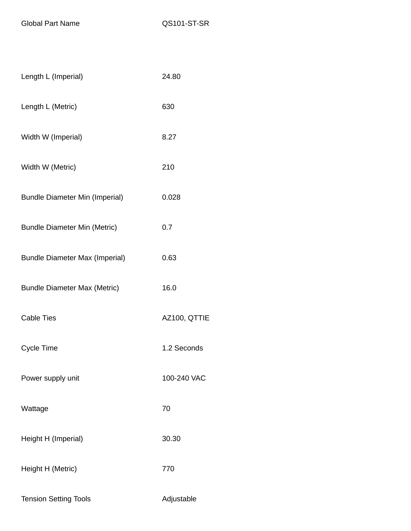Global Part Name QS101-ST-SR

| Length L (Imperial)                   | 24.80        |
|---------------------------------------|--------------|
| Length L (Metric)                     | 630          |
| Width W (Imperial)                    | 8.27         |
| Width W (Metric)                      | 210          |
| <b>Bundle Diameter Min (Imperial)</b> | 0.028        |
| <b>Bundle Diameter Min (Metric)</b>   | 0.7          |
| <b>Bundle Diameter Max (Imperial)</b> | 0.63         |
| <b>Bundle Diameter Max (Metric)</b>   | 16.0         |
| <b>Cable Ties</b>                     | AZ100, QTTIE |
| <b>Cycle Time</b>                     | 1.2 Seconds  |
| Power supply unit                     | 100-240 VAC  |
| Wattage                               | 70           |
| Height H (Imperial)                   | 30.30        |
| Height H (Metric)                     | 770          |
| <b>Tension Setting Tools</b>          | Adjustable   |